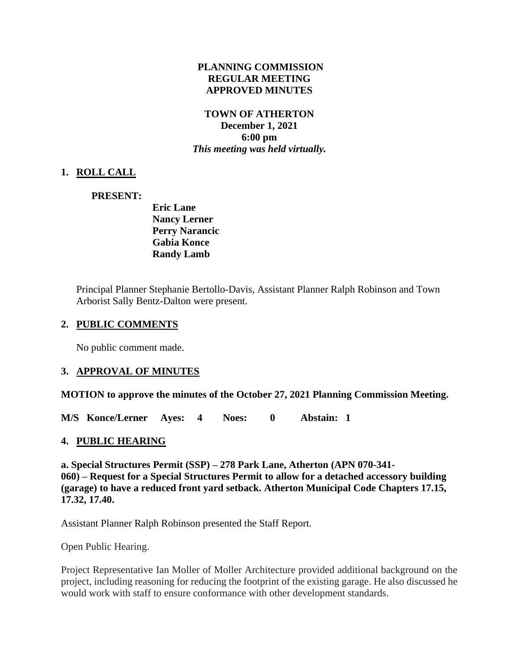#### **PLANNING COMMISSION REGULAR MEETING APPROVED MINUTES**

#### **TOWN OF ATHERTON December 1, 2021 6:00 pm** *This meeting was held virtually.*

# **1. ROLL CALL**

## **PRESENT:**

**Eric Lane Nancy Lerner Perry Narancic Gabia Konce Randy Lamb**

Principal Planner Stephanie Bertollo-Davis, Assistant Planner Ralph Robinson and Town Arborist Sally Bentz-Dalton were present.

#### **2. PUBLIC COMMENTS**

No public comment made.

## **3. APPROVAL OF MINUTES**

**MOTION to approve the minutes of the October 27, 2021 Planning Commission Meeting.**

**M/S Konce/Lerner Ayes: 4 Noes: 0 Abstain: 1** 

## **4. PUBLIC HEARING**

**a. [Special](https://www.ci.atherton.ca.us/DocumentCenter/View/9601/Final-Packet---278-Park-Lane-1212021) Structures Permit (SSP) – [278 Park Lane, Atherton \(APN 070-341-](https://www.ci.atherton.ca.us/DocumentCenter/View/9601/Final-Packet---278-Park-Lane-1212021) [060\)](https://www.ci.atherton.ca.us/DocumentCenter/View/9601/Final-Packet---278-Park-Lane-1212021) – Request for a Special Structures Permit to allow for a detached accessory building (garage) to have a reduced front yard setback. Atherton Municipal Code Chapters 17.15, 17.32, 17.40.**

Assistant Planner Ralph Robinson presented the Staff Report.

Open Public Hearing.

Project Representative Ian Moller of Moller Architecture provided additional background on the project, including reasoning for reducing the footprint of the existing garage. He also discussed he would work with staff to ensure conformance with other development standards.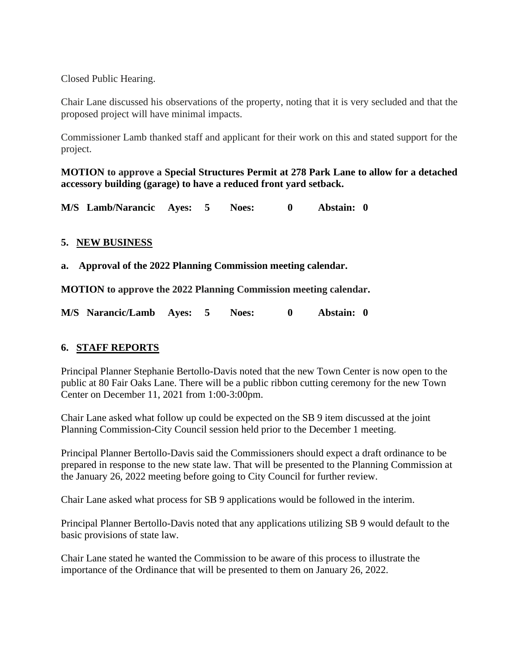Closed Public Hearing.

Chair Lane discussed his observations of the property, noting that it is very secluded and that the proposed project will have minimal impacts.

Commissioner Lamb thanked staff and applicant for their work on this and stated support for the project.

**MOTION to approve a Special Structures Permit at 278 Park Lane to allow for a detached accessory building (garage) to have a reduced front yard setback.**

**M/S Lamb/Narancic Ayes: 5 Noes: 0 Abstain: 0** 

## **5. NEW BUSINESS**

**a. [Approval of the 2022 Planning Commission meeting calendar.](https://www.ci.atherton.ca.us/DocumentCenter/View/9600/2022-Planning-Commission-Calendar)**

**MOTION to approve the 2022 Planning Commission meeting calendar.**

**M/S Narancic/Lamb Ayes: 5 Noes: 0 Abstain: 0** 

#### **6. STAFF REPORTS**

Principal Planner Stephanie Bertollo-Davis noted that the new Town Center is now open to the public at 80 Fair Oaks Lane. There will be a public ribbon cutting ceremony for the new Town Center on December 11, 2021 from 1:00-3:00pm.

Chair Lane asked what follow up could be expected on the SB 9 item discussed at the joint Planning Commission-City Council session held prior to the December 1 meeting.

Principal Planner Bertollo-Davis said the Commissioners should expect a draft ordinance to be prepared in response to the new state law. That will be presented to the Planning Commission at the January 26, 2022 meeting before going to City Council for further review.

Chair Lane asked what process for SB 9 applications would be followed in the interim.

Principal Planner Bertollo-Davis noted that any applications utilizing SB 9 would default to the basic provisions of state law.

Chair Lane stated he wanted the Commission to be aware of this process to illustrate the importance of the Ordinance that will be presented to them on January 26, 2022.